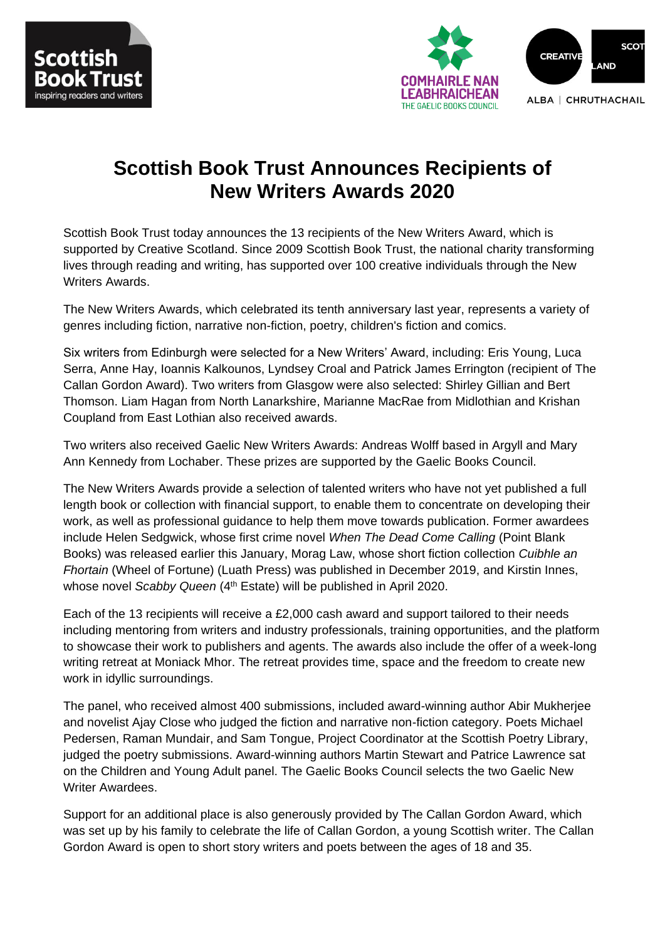



# **Scottish Book Trust Announces Recipients of New Writers Awards 2020**

Scottish Book Trust today announces the 13 recipients of the New Writers Award, which is supported by Creative Scotland. Since 2009 Scottish Book Trust, the national charity transforming lives through reading and writing, has supported over 100 creative individuals through the New Writers Awards.

The New Writers Awards, which celebrated its tenth anniversary last year, represents a variety of genres including fiction, narrative non-fiction, poetry, children's fiction and comics.

Six writers from Edinburgh were selected for a New Writers' Award, including: Eris Young, Luca Serra, Anne Hay, Ioannis Kalkounos, Lyndsey Croal and Patrick James Errington (recipient of The Callan Gordon Award). Two writers from Glasgow were also selected: Shirley Gillian and Bert Thomson. Liam Hagan from North Lanarkshire, Marianne MacRae from Midlothian and Krishan Coupland from East Lothian also received awards.

Two writers also received Gaelic New Writers Awards: Andreas Wolff based in Argyll and Mary Ann Kennedy from Lochaber. These prizes are supported by the Gaelic Books Council.

The New Writers Awards provide a selection of talented writers who have not yet published a full length book or collection with financial support, to enable them to concentrate on developing their work, as well as professional guidance to help them move towards publication. Former awardees include Helen Sedgwick, whose first crime novel *When The Dead Come Calling* (Point Blank Books) was released earlier this January, Morag Law, whose short fiction collection *Cuibhle an Fhortain* (Wheel of Fortune) (Luath Press) was published in December 2019, and Kirstin Innes, whose novel Scabby Queen (4<sup>th</sup> Estate) will be published in April 2020.

Each of the 13 recipients will receive a £2,000 cash award and support tailored to their needs including mentoring from writers and industry professionals, training opportunities, and the platform to showcase their work to publishers and agents. The awards also include the offer of a week-long writing retreat at Moniack Mhor. The retreat provides time, space and the freedom to create new work in idyllic surroundings.

The panel, who received almost 400 submissions, included award-winning author Abir Mukherjee and novelist Ajay Close who judged the fiction and narrative non-fiction category. Poets Michael Pedersen, Raman Mundair, and Sam Tongue, Project Coordinator at the Scottish Poetry Library, judged the poetry submissions. Award-winning authors Martin Stewart and Patrice Lawrence sat on the Children and Young Adult panel. The Gaelic Books Council selects the two Gaelic New Writer Awardees.

Support for an additional place is also generously provided by The Callan Gordon Award, which was set up by his family to celebrate the life of Callan Gordon, a young Scottish writer. The Callan Gordon Award is open to short story writers and poets between the ages of 18 and 35.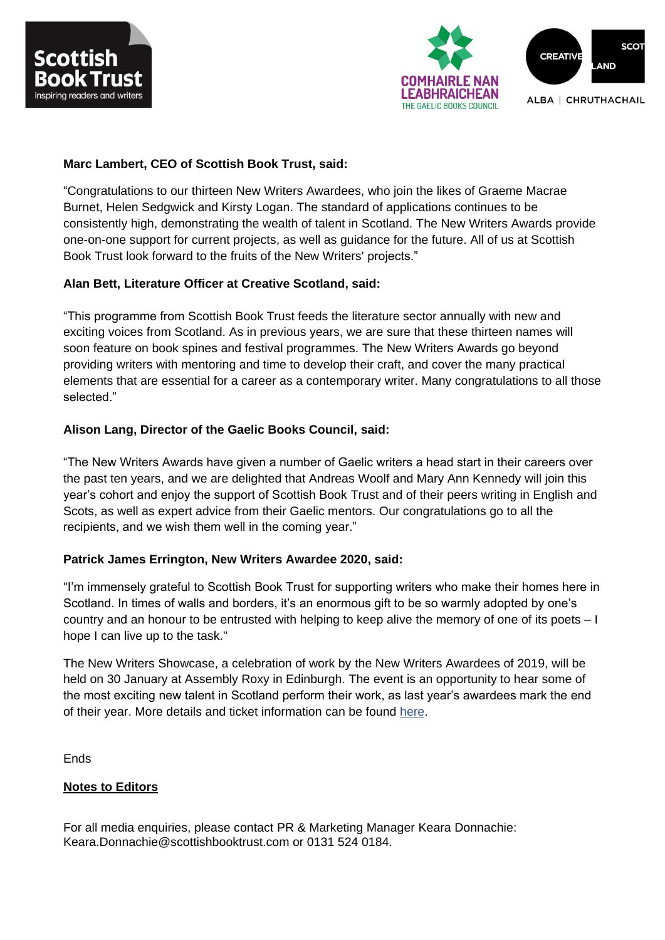



## **Marc Lambert, CEO of Scottish Book Trust, said:**

"Congratulations to our thirteen New Writers Awardees, who join the likes of Graeme Macrae Burnet, Helen Sedgwick and Kirsty Logan. The standard of applications continues to be consistently high, demonstrating the wealth of talent in Scotland. The New Writers Awards provide one-on-one support for current projects, as well as guidance for the future. All of us at Scottish Book Trust look forward to the fruits of the New Writers' projects."

## **Alan Bett, Literature Officer at Creative Scotland, said:**

"This programme from Scottish Book Trust feeds the literature sector annually with new and exciting voices from Scotland. As in previous years, we are sure that these thirteen names will soon feature on book spines and festival programmes. The New Writers Awards go beyond providing writers with mentoring and time to develop their craft, and cover the many practical elements that are essential for a career as a contemporary writer. Many congratulations to all those selected."

# **Alison Lang, Director of the Gaelic Books Council, said:**

"The New Writers Awards have given a number of Gaelic writers a head start in their careers over the past ten years, and we are delighted that Andreas Woolf and Mary Ann Kennedy will join this year's cohort and enjoy the support of Scottish Book Trust and of their peers writing in English and Scots, as well as expert advice from their Gaelic mentors. Our congratulations go to all the recipients, and we wish them well in the coming year."

#### **Patrick James Errington, New Writers Awardee 2020, said:**

"I'm immensely grateful to Scottish Book Trust for supporting writers who make their homes here in Scotland. In times of walls and borders, it's an enormous gift to be so warmly adopted by one's country and an honour to be entrusted with helping to keep alive the memory of one of its poets – I hope I can live up to the task."

The New Writers Showcase, a celebration of work by the New Writers Awardees of 2019, will be held on 30 January at Assembly Roxy in Edinburgh. The event is an opportunity to hear some of the most exciting new talent in Scotland perform their work, as last year's awardees mark the end of their year. More details and ticket information can be found [here.](https://www.scottishbooktrust.com/writing-and-authors/new-writers-awards/new-writers-awards-showcase)

Ends

#### **Notes to Editors**

For all media enquiries, please contact PR & Marketing Manager Keara Donnachie: Keara.Donnachie@scottishbooktrust.com or 0131 524 0184.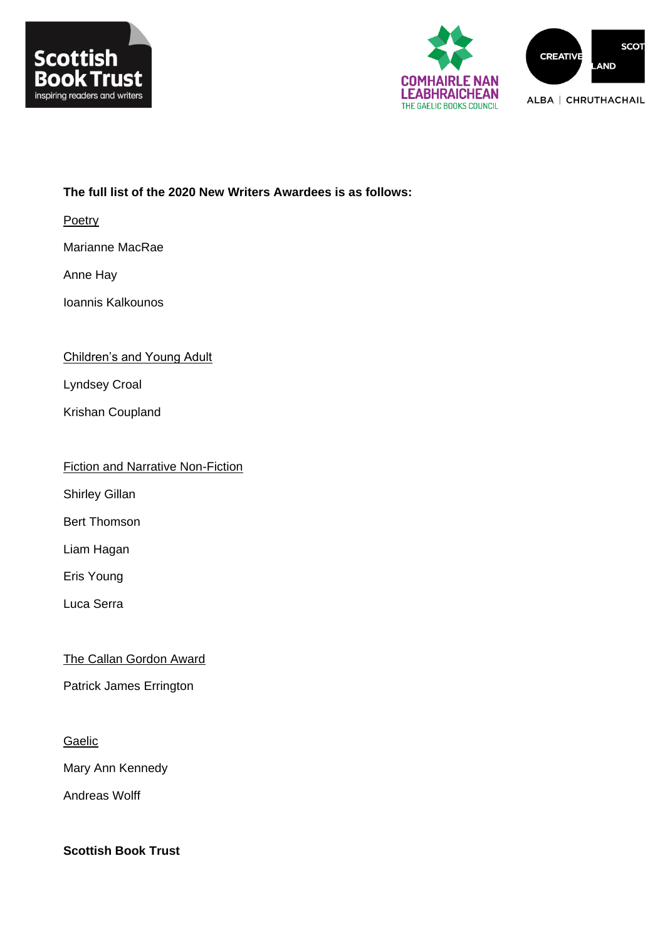



## **The full list of the 2020 New Writers Awardees is as follows:**

Poetry

Marianne MacRae

Anne Hay

Ioannis Kalkounos

## Children's and Young Adult

Lyndsey Croal

Krishan Coupland

|  | <b>Fiction and Narrative Non-Fiction</b> |
|--|------------------------------------------|
|  |                                          |

Shirley Gillan

Bert Thomson

Liam Hagan

Eris Young

Luca Serra

# The Callan Gordon Award

Patrick James Errington

### Gaelic

Mary Ann Kennedy

Andreas Wolff

**Scottish Book Trust**